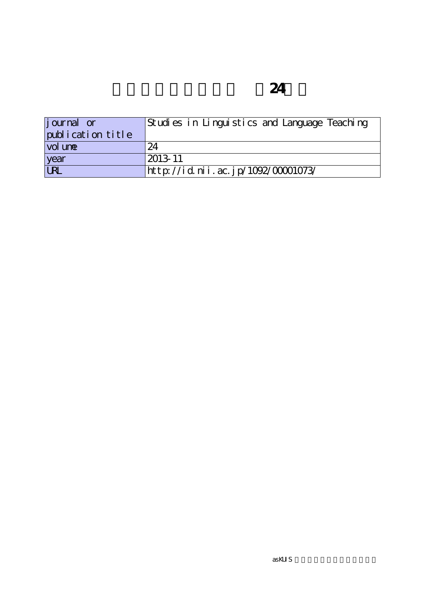| <i>j</i> ournal or | Studies in Linguistics and Language Teaching |
|--------------------|----------------------------------------------|
| publication title  |                                              |
| vol une            | 24                                           |
| year               | 2013-11                                      |
| <b>URL</b>         | http://id.nii.ac.jp/1092/00001073/           |